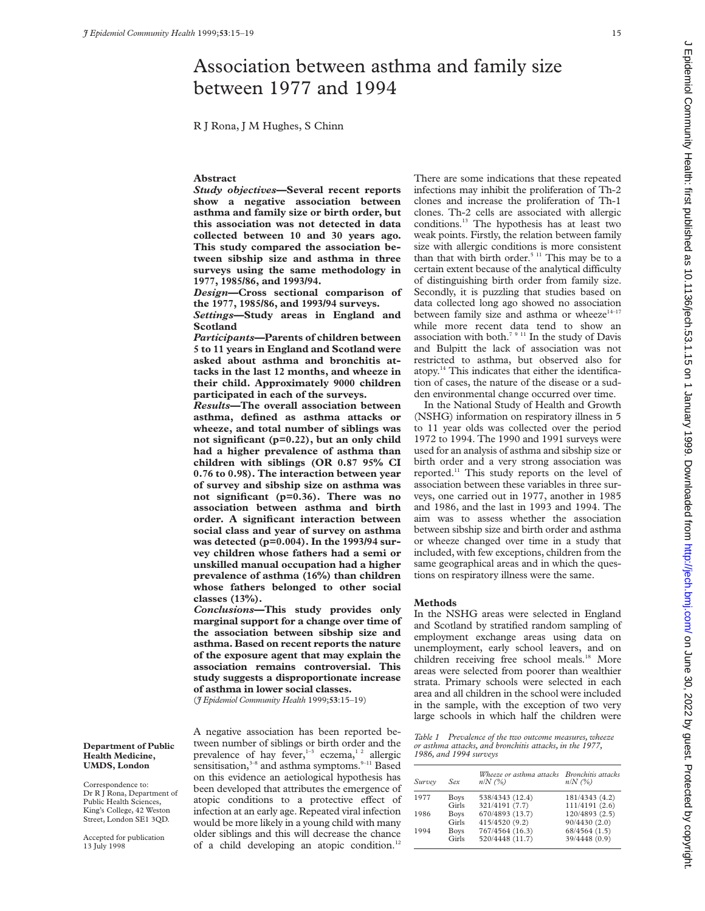# Association between asthma and family size between 1977 and 1994

R J Rona, J M Hughes, S Chinn

# **Abstract**

*Study objectives***—Several recent reports show a negative association between asthma and family size or birth order, but this association was not detected in data collected between 10 and 30 years ago. This study compared the association between sibship size and asthma in three surveys using the same methodology in 1977, 1985/86, and 1993/94.**

*Design***—Cross sectional comparison of the 1977, 1985/86, and 1993/94 surveys.** *Settings***—Study areas in England and Scotland**

*Participants***—Parents of children between 5 to 11 years in England and Scotland were asked about asthma and bronchitis attacks in the last 12 months, and wheeze in their child. Approximately 9000 children participated in each of the surveys.**

*Results***—The overall association between asthma, defined as asthma attacks or wheeze, and total number of siblings was not significant (p=0.22), but an only child had a higher prevalence of asthma than children with siblings (OR 0.87 95% CI 0.76 to 0.98). The interaction between year of survey and sibship size on asthma was not significant (p=0.36). There was no association between asthma and birth order. A significant interaction between social class and year of survey on asthma was detected (p=0.004). In the 1993/94 survey children whose fathers had a semi or unskilled manual occupation had a higher prevalence of asthma (16%) than children whose fathers belonged to other social classes (13%).**

*Conclusions***—This study provides only marginal support for a change over time of the association between sibship size and asthma. Based on recent reports the nature of the exposure agent that may explain the association remains controversial. This study suggests a disproportionate increase of asthma in lower social classes.**

(*J Epidemiol Community Health* 1999;**53**:15–19)

A negative association has been reported between number of siblings or birth order and the prevalence of hay fever, $1-3$  eczema, $1/2$  allergic sensitisation, $3-8$  and asthma symptoms. $9-11$  Based on this evidence an aetiological hypothesis has been developed that attributes the emergence of atopic conditions to a protective effect of infection at an early age. Repeated viral infection would be more likely in a young child with many older siblings and this will decrease the chance of a child developing an atopic condition.<sup>12</sup>

There are some indications that these repeated infections may inhibit the proliferation of Th-2 clones and increase the proliferation of Th-1 clones. Th-2 cells are associated with allergic conditions.13 The hypothesis has at least two weak points. Firstly, the relation between family size with allergic conditions is more consistent than that with birth order. $5<sup>11</sup>$  This may be to a certain extent because of the analytical difficulty of distinguishing birth order from family size. Secondly, it is puzzling that studies based on data collected long ago showed no association between family size and asthma or wheeze<sup>14-17</sup> while more recent data tend to show an association with both.<sup>7 9 11</sup> In the study of Davis and Bulpitt the lack of association was not restricted to asthma, but observed also for atopy.14 This indicates that either the identification of cases, the nature of the disease or a sudden environmental change occurred over time.

In the National Study of Health and Growth (NSHG) information on respiratory illness in 5 to 11 year olds was collected over the period 1972 to 1994. The 1990 and 1991 surveys were used for an analysis of asthma and sibship size or birth order and a very strong association was reported.11 This study reports on the level of association between these variables in three surveys, one carried out in 1977, another in 1985 and 1986, and the last in 1993 and 1994. The aim was to assess whether the association between sibship size and birth order and asthma or wheeze changed over time in a study that included, with few exceptions, children from the same geographical areas and in which the questions on respiratory illness were the same.

#### **Methods**

In the NSHG areas were selected in England and Scotland by stratified random sampling of employment exchange areas using data on unemployment, early school leavers, and on children receiving free school meals.<sup>18</sup> More areas were selected from poorer than wealthier strata. Primary schools were selected in each area and all children in the school were included in the sample, with the exception of two very large schools in which half the children were

*Table 1 Prevalence of the two outcome measures, wheeze or asthma attacks, and bronchitis attacks, in the 1977, 1986, and 1994 surveys*

| Survey | Sex         | Wheeze or asthma attacks Bronchitis attacks<br>$n/N$ (%) | $n/N$ (%)      |
|--------|-------------|----------------------------------------------------------|----------------|
| 1977   | <b>Boys</b> | 538/4343 (12.4)                                          | 181/4343 (4.2) |
|        | Girls       | 321/4191 (7.7)                                           | 111/4191 (2.6) |
| 1986   | <b>Boys</b> | 670/4893 (13.7)                                          | 120/4893 (2.5) |
|        | Girls       | 415/4520 (9.2)                                           | 90/4430 (2.0)  |
| 1994   | <b>Boys</b> | 767/4564 (16.3)                                          | 68/4564(1.5)   |
|        | Girls       | 520/4448 (11.7)                                          | 39/4448 (0.9)  |

## **Department of Public Health Medicine, UMDS, London**

Correspondence to: Dr R J Rona, Department of Public Health Sciences, King's College, 42 Weston Street, London SE1 3QD.

Accepted for publication 13 July 1998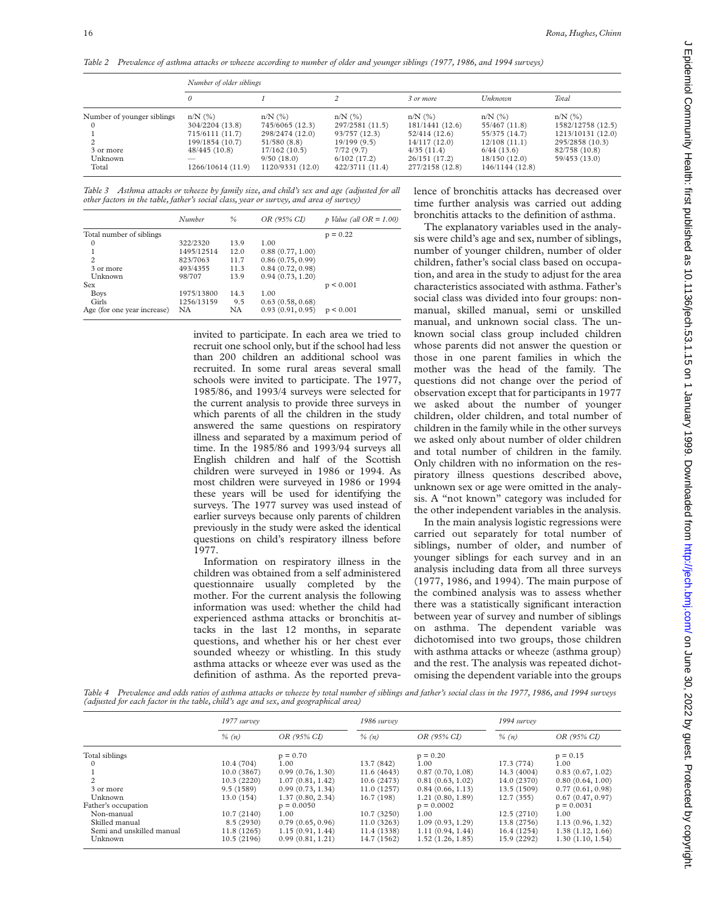*Table 2 Prevalence of asthma attacks or wheeze according to number of older and younger siblings (1977, 1986, and 1994 surveys)*

|                            | Number of older siblings |                  |                 |                 |                 |                   |
|----------------------------|--------------------------|------------------|-----------------|-----------------|-----------------|-------------------|
|                            | 0                        |                  |                 | 3 or more       | Unknown         | Total             |
| Number of younger siblings | $n/N$ $(\%)$             | $n/N$ $(\%)$     | $n/N$ $(\%)$    | $n/N$ $(\%)$    | $n/N$ $(\%)$    | $n/N$ $(\%)$      |
|                            | 304/2204 (13.8)          | 745/6065 (12.3)  | 297/2581 (11.5) | 181/1441(12.6)  | 55/467 (11.8)   | 1582/12758 (12.5) |
|                            | 715/6111(11.7)           | 298/2474 (12.0)  | 93/757 (12.3)   | 52/414(12.6)    | 55/375 (14.7)   | 1213/10131 (12.0) |
|                            | 199/1854 (10.7)          | 51/580(8.8)      | 19/199(9.5)     | 14/117(12.0)    | 12/108(11.1)    | 295/2858 (10.3)   |
| 3 or more                  | 48/445(10.8)             | 17/162 (10.5)    | 7/72(9.7)       | 4/35(11.4)      | 6/44(13.6)      | 82/758 (10.8)     |
| Unknown                    |                          | 9/50(18.0)       | 6/102(17.2)     | 26/151 (17.2)   | 18/150(12.0)    | 59/453(13.0)      |
| Total                      | 1266/10614 (11.9)        | 1120/9331 (12.0) | 422/3711 (11.4) | 277/2158 (12.8) | 146/1144 (12.8) |                   |

*Table 3 Asthma attacks or wheeze by family size, and child's sex and age (adjusted for all other factors in the table, father's social class, year or survey, and area of survey)*

|                             | Number     | $\%$ | OR (95% CI)      | p Value (all $OR = 1.00$ ) |
|-----------------------------|------------|------|------------------|----------------------------|
| Total number of siblings    |            |      |                  | $p = 0.22$                 |
| 0                           | 322/2320   | 13.9 | 1.00             |                            |
|                             | 1495/12514 | 12.0 | 0.88(0.77, 1.00) |                            |
| $\overline{c}$              | 823/7063   | 11.7 | 0.86(0.75, 0.99) |                            |
| 3 or more                   | 493/4355   | 11.3 | 0.84(0.72, 0.98) |                            |
| Unknown                     | 98/707     | 13.9 | 0.94(0.73, 1.20) |                            |
| <b>Sex</b>                  |            |      |                  | p < 0.001                  |
| <b>Boys</b>                 | 1975/13800 | 14.3 | 1.00             |                            |
| Girls                       | 1256/13159 | 9.5  | 0.63(0.58, 0.68) |                            |
| Age (for one year increase) | NA.        | NA   | 0.93(0.91, 0.95) | p < 0.001                  |

invited to participate. In each area we tried to recruit one school only, but if the school had less than 200 children an additional school was recruited. In some rural areas several small schools were invited to participate. The 1977, 1985/86, and 1993/4 surveys were selected for the current analysis to provide three surveys in which parents of all the children in the study answered the same questions on respiratory illness and separated by a maximum period of time. In the 1985/86 and 1993/94 surveys all English children and half of the Scottish children were surveyed in 1986 or 1994. As most children were surveyed in 1986 or 1994 these years will be used for identifying the surveys. The 1977 survey was used instead of earlier surveys because only parents of children previously in the study were asked the identical questions on child's respiratory illness before 1977.

Information on respiratory illness in the children was obtained from a self administered questionnaire usually completed by the mother. For the current analysis the following information was used: whether the child had experienced asthma attacks or bronchitis attacks in the last 12 months, in separate questions, and whether his or her chest ever sounded wheezy or whistling. In this study asthma attacks or wheeze ever was used as the definition of asthma. As the reported prevalence of bronchitis attacks has decreased over time further analysis was carried out adding bronchitis attacks to the definition of asthma.

The explanatory variables used in the analysis were child's age and sex, number of siblings, number of younger children, number of older children, father's social class based on occupation, and area in the study to adjust for the area characteristics associated with asthma. Father's social class was divided into four groups: nonmanual, skilled manual, semi or unskilled manual, and unknown social class. The unknown social class group included children whose parents did not answer the question or those in one parent families in which the mother was the head of the family. The questions did not change over the period of observation except that for participants in 1977 we asked about the number of younger children, older children, and total number of children in the family while in the other surveys we asked only about number of older children and total number of children in the family. Only children with no information on the respiratory illness questions described above, unknown sex or age were omitted in the analysis. A "not known" category was included for the other independent variables in the analysis.

In the main analysis logistic regressions were carried out separately for total number of siblings, number of older, and number of younger siblings for each survey and in an analysis including data from all three surveys (1977, 1986, and 1994). The main purpose of the combined analysis was to assess whether there was a statistically significant interaction between year of survey and number of siblings on asthma. The dependent variable was dichotomised into two groups, those children with asthma attacks or wheeze (asthma group) and the rest. The analysis was repeated dichotomising the dependent variable into the groups

*Table 4 Prevalence and odds ratios of asthma attacks or wheeze by total number of siblings and father's social class in the 1977, 1986, and 1994 surveys (adjusted for each factor in the table, child's age and sex, and geographical area)*

|                           | 1977 survey |                  | 1986 survey |                  | 1994 survey |                  |
|---------------------------|-------------|------------------|-------------|------------------|-------------|------------------|
|                           | $\%$ (n)    | OR (95% CI)      | $\%$ $(n)$  | OR (95% CI)      | $\%$ $(n)$  | OR (95% CI)      |
| Total siblings            |             | $p = 0.70$       |             | $p = 0.20$       |             | $p = 0.15$       |
|                           | 10.4(704)   | 1.00             | 13.7 (842)  | 1.00             | 17.3(774)   | 1.00             |
|                           | 10.0(3867)  | 0.99(0.76, 1.30) | 11.6 (4643) | 0.87(0.70, 1.08) | 14.3 (4004) | 0.83(0.67, 1.02) |
| $\mathfrak{D}$            | 10.3(2220)  | 1.07(0.81, 1.42) | 10.6 (2473) | 0.81(0.63, 1.02) | 14.0 (2370) | 0.80(0.64, 1.00) |
| 3 or more                 | 9.5(1589)   | 0.99(0.73, 1.34) | 11.0(1257)  | 0.84(0.66, 1.13) | 13.5 (1509) | 0.77(0.61, 0.98) |
| Unknown                   | 13.0(154)   | 1.37(0.80, 2.34) | 16.7 (198)  | 1.21(0.80, 1.89) | 12.7(355)   | 0.67(0.47, 0.97) |
| Father's occupation       |             | $p = 0.0050$     |             | $p = 0.0002$     |             | $p = 0.0031$     |
| Non-manual                | 10.7(2140)  | 1.00             | 10.7(3250)  | 1.00             | 12.5(2710)  | 1.00             |
| Skilled manual            | 8.5 (2930)  | 0.79(0.65, 0.96) | 11.0(3263)  | 1.09(0.93, 1.29) | 13.8 (2756) | 1.13(0.96, 1.32) |
| Semi and unskilled manual | 11.8(1265)  | 1.15(0.91, 1.44) | 11.4 (1338) | 1.11(0.94, 1.44) | 16.4 (1254) | 1.38(1.12, 1.66) |
| Unknown                   | 10.5(2196)  | 0.99(0.81, 1.21) | 14.7 (1562) | 1.52(1.26, 1.85) | 15.9 (2292) | 1.30(1.10, 1.54) |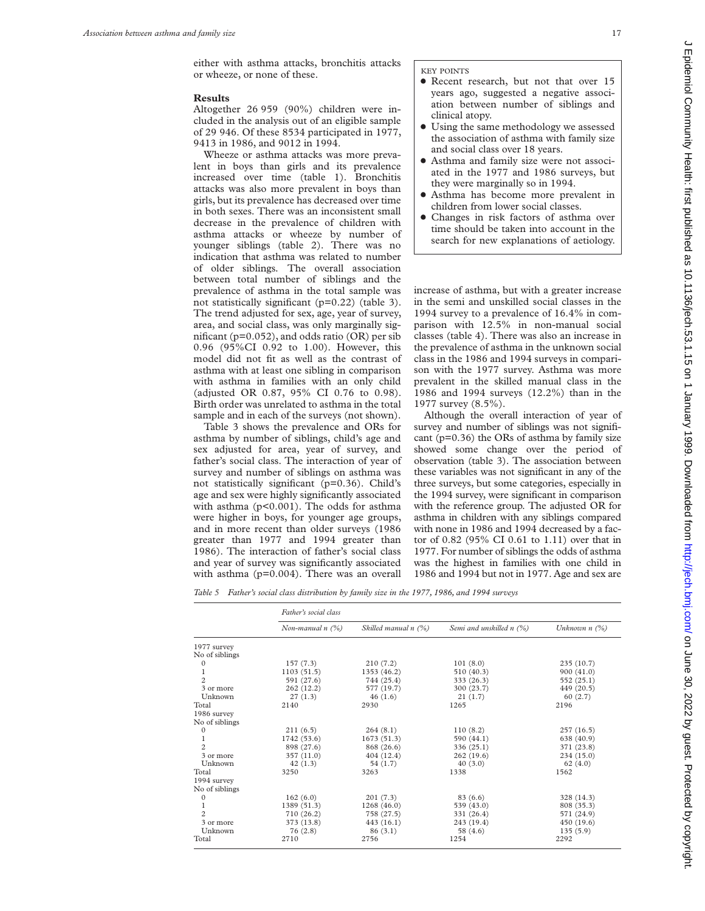either with asthma attacks, bronchitis attacks or wheeze, or none of these.

#### **Results**

Altogether 26 959 (90%) children were included in the analysis out of an eligible sample of 29 946. Of these 8534 participated in 1977, 9413 in 1986, and 9012 in 1994.

Wheeze or asthma attacks was more prevalent in boys than girls and its prevalence increased over time (table 1). Bronchitis attacks was also more prevalent in boys than girls, but its prevalence has decreased over time in both sexes. There was an inconsistent small decrease in the prevalence of children with asthma attacks or wheeze by number of younger siblings (table 2). There was no indication that asthma was related to number of older siblings*.* The overall association between total number of siblings and the prevalence of asthma in the total sample was not statistically significant (p=0.22) (table 3). The trend adjusted for sex, age, year of survey, area, and social class, was only marginally significant (p=0.052), and odds ratio (OR) per sib 0.96 (95%CI 0.92 to 1.00). However, this model did not fit as well as the contrast of asthma with at least one sibling in comparison with asthma in families with an only child (adjusted OR 0.87, 95% CI 0.76 to 0.98). Birth order was unrelated to asthma in the total sample and in each of the surveys (not shown).

Table 3 shows the prevalence and ORs for asthma by number of siblings, child's age and sex adjusted for area, year of survey, and father's social class. The interaction of year of survey and number of siblings on asthma was not statistically significant (p=0.36). Child's age and sex were highly significantly associated with asthma (p<0.001). The odds for asthma were higher in boys, for younger age groups, and in more recent than older surveys (1986 greater than 1977 and 1994 greater than 1986). The interaction of father's social class and year of survey was significantly associated with asthma (p=0.004). There was an overall

KEY POINTS

- Recent research, but not that over 15 years ago, suggested a negative association between number of siblings and clinical atopy.
- $\bullet$  Using the same methodology we assessed the association of asthma with family size and social class over 18 years.
- x Asthma and family size were not associated in the 1977 and 1986 surveys, but they were marginally so in 1994.
- Asthma has become more prevalent in children from lower social classes.
- Changes in risk factors of asthma over time should be taken into account in the search for new explanations of aetiology.

increase of asthma, but with a greater increase in the semi and unskilled social classes in the 1994 survey to a prevalence of 16.4% in comparison with 12.5% in non-manual social classes (table 4). There was also an increase in the prevalence of asthma in the unknown social class in the 1986 and 1994 surveys in comparison with the 1977 survey. Asthma was more prevalent in the skilled manual class in the 1986 and 1994 surveys (12.2%) than in the 1977 survey (8.5%).

Although the overall interaction of year of survey and number of siblings was not significant (p=0.36) the ORs of asthma by family size showed some change over the period of observation (table 3). The association between these variables was not significant in any of the three surveys, but some categories, especially in the 1994 survey, were significant in comparison with the reference group. The adjusted OR for asthma in children with any siblings compared with none in 1986 and 1994 decreased by a factor of 0.82 (95% CI 0.61 to 1.11) over that in 1977. For number of siblings the odds of asthma was the highest in families with one child in 1986 and 1994 but not in 1977. Age and sex are

*Table 5 Father's social class distribution by family size in the 1977, 1986, and 1994 surveys*

|                | Father's social class |                      |                          |                    |  |  |  |
|----------------|-----------------------|----------------------|--------------------------|--------------------|--|--|--|
|                | Non-manual $n$ (%)    | Skilled manual n (%) | Semi and unskilled n (%) | Unknown $n$ $(\%)$ |  |  |  |
| 1977 survey    |                       |                      |                          |                    |  |  |  |
| No of siblings |                       |                      |                          |                    |  |  |  |
| $\mathbf{0}$   | 157(7.3)              | 210(7.2)             | 101(8.0)                 | 235(10.7)          |  |  |  |
|                | 1103(51.5)            | 1353 (46.2)          | 510 (40.3)               | 900(41.0)          |  |  |  |
| $\overline{2}$ | 591 (27.6)            | 744 (25.4)           | 333 (26.3)               | 552 (25.1)         |  |  |  |
| 3 or more      | 262 (12.2)            | 577 (19.7)           | 300 (23.7)               | 449 (20.5)         |  |  |  |
| Unknown        | 27(1.3)               | 46(1.6)              | 21(1.7)                  | 60(2.7)            |  |  |  |
| Total          | 2140                  | 2930                 | 1265                     | 2196               |  |  |  |
| 1986 survey    |                       |                      |                          |                    |  |  |  |
| No of siblings |                       |                      |                          |                    |  |  |  |
| $\mathbf{0}$   | 211(6.5)              | 264(8.1)             | 110(8.2)                 | 257(16.5)          |  |  |  |
| 1              | 1742 (53.6)           | 1673(51.3)           | 590 (44.1)               | 638 (40.9)         |  |  |  |
| $\overline{c}$ | 898 (27.6)            | 868 (26.6)           | 336 (25.1)               | 371 (23.8)         |  |  |  |
| 3 or more      | 357 (11.0)            | 404 (12.4)           | 262(19.6)                | 234 (15.0)         |  |  |  |
| Unknown        | 42(1.3)               | 54 (1.7)             | 40(3.0)                  | 62(4.0)            |  |  |  |
| Total          | 3250                  | 3263                 | 1338                     | 1562               |  |  |  |
| 1994 survey    |                       |                      |                          |                    |  |  |  |
| No of siblings |                       |                      |                          |                    |  |  |  |
| $\Omega$       | 162(6.0)              | 201(7.3)             | 83 (6.6)                 | 328 (14.3)         |  |  |  |
|                | 1389 (51.3)           | 1268(46.0)           | 539 (43.0)               | 808 (35.3)         |  |  |  |
| $\overline{c}$ | 710 (26.2)            | 758 (27.5)           | 331 (26.4)               | 571 (24.9)         |  |  |  |
| 3 or more      | 373 (13.8)            | 443(16.1)            | 243 (19.4)               | 450 (19.6)         |  |  |  |
| Unknown        | 76 (2.8)              | 86(3.1)              | 58 (4.6)                 | 135(5.9)           |  |  |  |
| Total          | 2710                  | 2756                 | 1254                     | 2292               |  |  |  |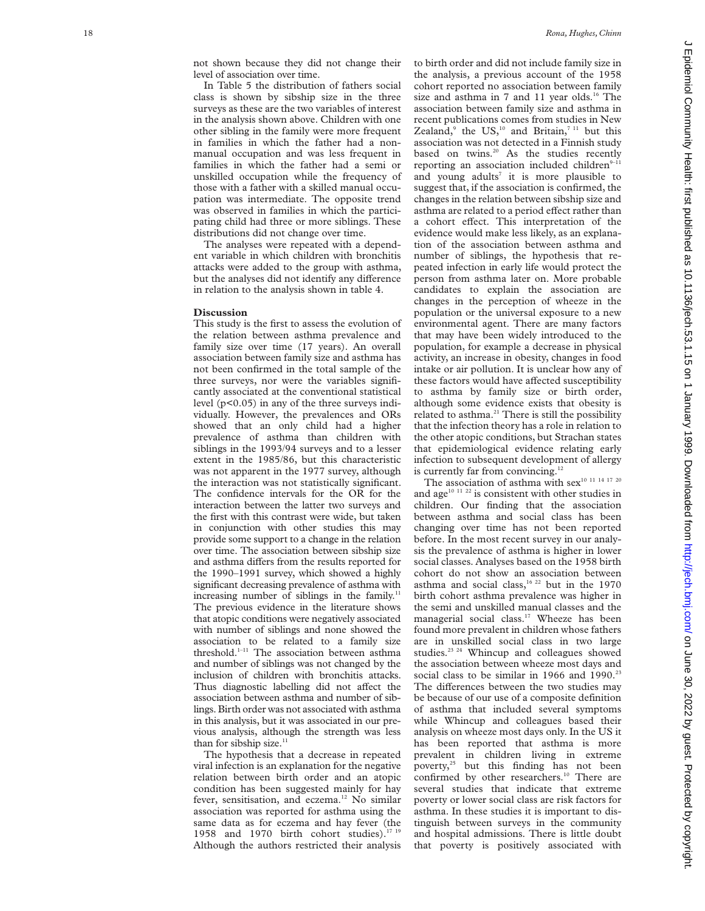not shown because they did not change their level of association over time.

In Table 5 the distribution of fathers social class is shown by sibship size in the three surveys as these are the two variables of interest in the analysis shown above. Children with one other sibling in the family were more frequent in families in which the father had a nonmanual occupation and was less frequent in families in which the father had a semi or unskilled occupation while the frequency of those with a father with a skilled manual occupation was intermediate. The opposite trend was observed in families in which the participating child had three or more siblings. These distributions did not change over time.

The analyses were repeated with a dependent variable in which children with bronchitis attacks were added to the group with asthma, but the analyses did not identify any difference in relation to the analysis shown in table 4.

### **Discussion**

This study is the first to assess the evolution of the relation between asthma prevalence and family size over time (17 years). An overall association between family size and asthma has not been confirmed in the total sample of the three surveys, nor were the variables significantly associated at the conventional statistical level (p<0.05) in any of the three surveys individually. However, the prevalences and ORs showed that an only child had a higher prevalence of asthma than children with siblings in the 1993/94 surveys and to a lesser extent in the 1985/86, but this characteristic was not apparent in the 1977 survey, although the interaction was not statistically significant. The confidence intervals for the OR for the interaction between the latter two surveys and the first with this contrast were wide, but taken in conjunction with other studies this may provide some support to a change in the relation over time. The association between sibship size and asthma differs from the results reported for the 1990–1991 survey, which showed a highly significant decreasing prevalence of asthma with increasing number of siblings in the family.<sup>11</sup> The previous evidence in the literature shows that atopic conditions were negatively associated with number of siblings and none showed the association to be related to a family size threshold. $1-11$  The association between asthma and number of siblings was not changed by the inclusion of children with bronchitis attacks. Thus diagnostic labelling did not affect the association between asthma and number of siblings. Birth order was not associated with asthma in this analysis, but it was associated in our previous analysis, although the strength was less than for sibship size. $11$ 

The hypothesis that a decrease in repeated viral infection is an explanation for the negative relation between birth order and an atopic condition has been suggested mainly for hay fever, sensitisation, and eczema.<sup>12</sup> No similar association was reported for asthma using the same data as for eczema and hay fever (the 1958 and 1970 birth cohort studies).<sup>17 19</sup> Although the authors restricted their analysis

to birth order and did not include family size in the analysis, a previous account of the 1958 cohort reported no association between family size and asthma in 7 and 11 year olds.<sup>16</sup> The association between family size and asthma in recent publications comes from studies in New Zealand,<sup>9</sup> the US,<sup>10</sup> and Britain,<sup>711</sup> but this association was not detected in a Finnish study based on twins.<sup>20</sup> As the studies recently reporting an association included children $9-1$ and young adults <sup>7</sup> it is more plausible to suggest that, if the association is confirmed, the changes in the relation between sibship size and asthma are related to a period effect rather than a cohort effect. This interpretation of the evidence would make less likely, as an explanation of the association between asthma and number of siblings, the hypothesis that repeated infection in early life would protect the person from asthma later on. More probable candidates to explain the association are changes in the perception of wheeze in the population or the universal exposure to a new environmental agent. There are many factors that may have been widely introduced to the population, for example a decrease in physical activity, an increase in obesity, changes in food intake or air pollution. It is unclear how any of these factors would have affected susceptibility to asthma by family size or birth order, although some evidence exists that obesity is related to asthma.<sup>21</sup> There is still the possibility that the infection theory has a role in relation to the other atopic conditions, but Strachan states that epidemiological evidence relating early infection to subsequent development of allergy is currently far from convincing. $12$ 

The association of asthma with sex<sup>10 11 14 17 20</sup> and age<sup>10 11 22</sup> is consistent with other studies in children. Our finding that the association between asthma and social class has been changing over time has not been reported before. In the most recent survey in our analysis the prevalence of asthma is higher in lower social classes. Analyses based on the 1958 birth cohort do not show an association between asthma and social class, $16$   $22$  but in the 1970 birth cohort asthma prevalence was higher in the semi and unskilled manual classes and the managerial social class.<sup>17</sup> Wheeze has been found more prevalent in children whose fathers are in unskilled social class in two large studies.<sup>23</sup> <sup>24</sup> Whincup and colleagues showed the association between wheeze most days and social class to be similar in 1966 and 1990. $22$ The differences between the two studies may be because of our use of a composite definition of asthma that included several symptoms while Whincup and colleagues based their analysis on wheeze most days only. In the US it has been reported that asthma is more prevalent in children living in extreme poverty,<sup>25</sup> but this finding has not been confirmed by other researchers.<sup>10</sup> There are several studies that indicate that extreme poverty or lower social class are risk factors for asthma. In these studies it is important to distinguish between surveys in the community and hospital admissions. There is little doubt that poverty is positively associated with